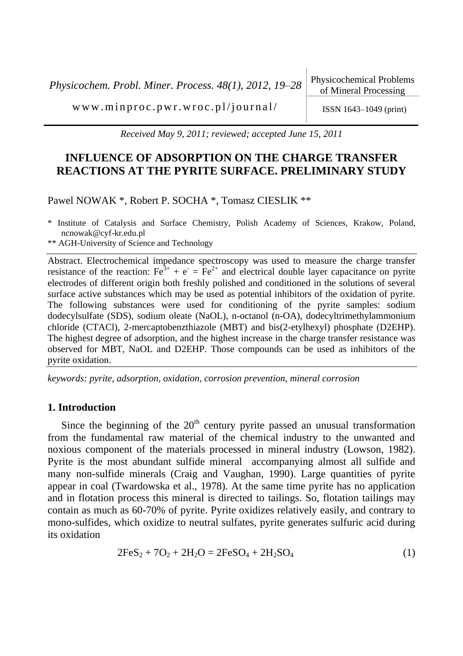*Physicochem. Probl. Miner. Process. 48(1), 2012, 19–28* Physicochemical Problems

 $w \, w \, w \, .$  m in p r o c . p  $w \, r \, .$   $w \, r \, o \, c \, .$  p  $1/j \, o \, ur \, n \, a \, l$  / ISSN 1643-1049 (print)

*Received May 9, 2011; reviewed; accepted June 15, 2011*

# **INFLUENCE OF ADSORPTION ON THE CHARGE TRANSFER REACTIONS AT THE PYRITE SURFACE. PRELIMINARY STUDY**

Pawel NOWAK \*, Robert P. SOCHA \*, Tomasz CIESLIK \*\*

\* Institute of Catalysis and Surface Chemistry, Polish Academy of Sciences, Krakow, Poland, ncnowak@cyf-kr.edu.pl

\*\* AGH-University of Science and Technology

Abstract. Electrochemical impedance spectroscopy was used to measure the charge transfer resistance of the reaction:  $Fe^{3+} + e^- = Fe^{2+}$  and electrical double layer capacitance on pyrite electrodes of different origin both freshly polished and conditioned in the solutions of several surface active substances which may be used as potential inhibitors of the oxidation of pyrite. The following substances were used for conditioning of the pyrite samples: sodium dodecylsulfate (SDS), sodium oleate (NaOL), n-octanol (n-OA), dodecyltrimethylammonium chloride (CTACl), 2-mercaptobenzthiazole (MBT) and bis(2-etylhexyl) phosphate (D2EHP). The highest degree of adsorption, and the highest increase in the charge transfer resistance was observed for MBT, NaOL and D2EHP. Those compounds can be used as inhibitors of the pyrite oxidation.

*keywords: pyrite, adsorption, oxidation, corrosion prevention, mineral corrosion*

## **1. Introduction**

Since the beginning of the  $20<sup>th</sup>$  century pyrite passed an unusual transformation from the fundamental raw material of the chemical industry to the unwanted and noxious component of the materials processed in mineral industry (Lowson, 1982). Pyrite is the most abundant sulfide mineral accompanying almost all sulfide and many non-sulfide minerals (Craig and Vaughan, 1990). Large quantities of pyrite appear in coal (Twardowska et al., 1978). At the same time pyrite has no application and in flotation process this mineral is directed to tailings. So, flotation tailings may contain as much as 60-70% of pyrite. Pyrite oxidizes relatively easily, and contrary to mono-sulfides, which oxidize to neutral sulfates, pyrite generates sulfuric acid during its oxidation

$$
2FeS_2 + 7O_2 + 2H_2O = 2FeSO_4 + 2H_2SO_4
$$
 (1)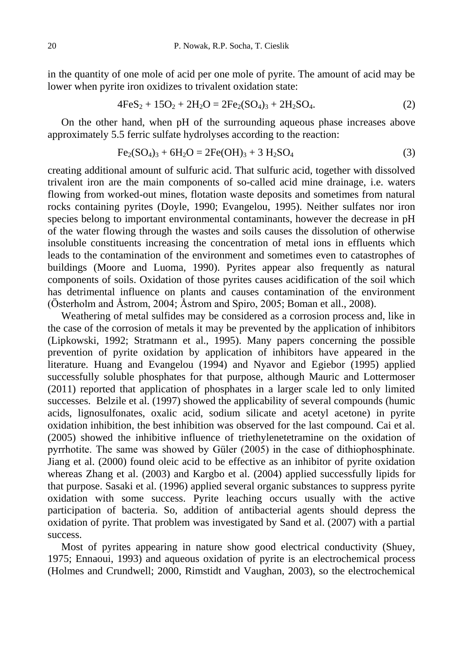in the quantity of one mole of acid per one mole of pyrite. The amount of acid may be lower when pyrite iron oxidizes to trivalent oxidation state:

$$
4FeS_2 + 15O_2 + 2H_2O = 2Fe_2(SO_4)_3 + 2H_2SO_4.
$$
 (2)

On the other hand, when pH of the surrounding aqueous phase increases above approximately 5.5 ferric sulfate hydrolyses according to the reaction:

$$
Fe_2(SO_4)_3 + 6H_2O = 2Fe(OH)_3 + 3H_2SO_4
$$
 (3)

creating additional amount of sulfuric acid. That sulfuric acid, together with dissolved trivalent iron are the main components of so-called acid mine drainage, i.e. waters flowing from worked-out mines, flotation waste deposits and sometimes from natural rocks containing pyrites (Doyle, 1990; Evangelou, 1995). Neither sulfates nor iron species belong to important environmental contaminants, however the decrease in pH of the water flowing through the wastes and soils causes the dissolution of otherwise insoluble constituents increasing the concentration of metal ions in effluents which leads to the contamination of the environment and sometimes even to catastrophes of buildings (Moore and Luoma, 1990). Pyrites appear also frequently as natural components of soils. Oxidation of those pyrites causes acidification of the soil which has detrimental influence on plants and causes contamination of the environment (Österholm and Åstrom, 2004; Åstrom and Spiro, 2005; Boman et all., 2008).

Weathering of metal sulfides may be considered as a corrosion process and, like in the case of the corrosion of metals it may be prevented by the application of inhibitors (Lipkowski, 1992; Stratmann et al., 1995). Many papers concerning the possible prevention of pyrite oxidation by application of inhibitors have appeared in the literature. Huang and Evangelou (1994) and Nyavor and Egiebor (1995) applied successfully soluble phosphates for that purpose, although Mauric and Lottermoser (2011) reported that application of phosphates in a larger scale led to only limited successes. Belzile et al. (1997) showed the applicability of several compounds (humic acids, lignosulfonates, oxalic acid, sodium silicate and acetyl acetone) in pyrite oxidation inhibition, the best inhibition was observed for the last compound. Cai et al. (2005) showed the inhibitive influence of triethylenetetramine on the oxidation of pyrrhotite. The same was showed by Güler (2005) in the case of dithiophosphinate. Jiang et al. (2000) found oleic acid to be effective as an inhibitor of pyrite oxidation whereas Zhang et al. (2003) and Kargbo et al. (2004) applied successfully lipids for that purpose. Sasaki et al. (1996) applied several organic substances to suppress pyrite oxidation with some success. Pyrite leaching occurs usually with the active participation of bacteria. So, addition of antibacterial agents should depress the oxidation of pyrite. That problem was investigated by Sand et al. (2007) with a partial success.

Most of pyrites appearing in nature show good electrical conductivity (Shuey, 1975; Ennaoui, 1993) and aqueous oxidation of pyrite is an electrochemical process (Holmes and Crundwell; 2000, Rimstidt and Vaughan, 2003), so the electrochemical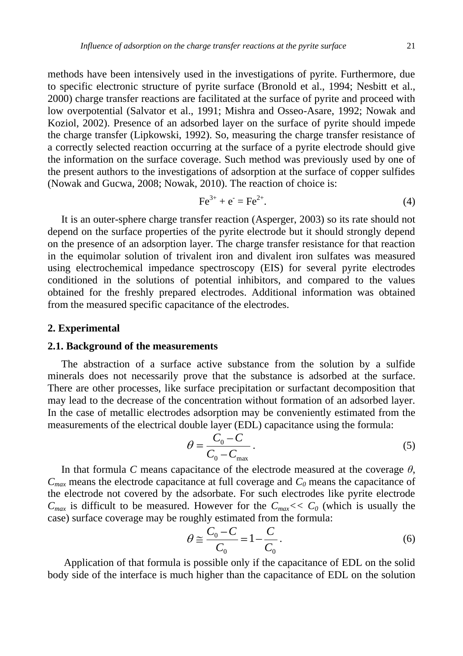methods have been intensively used in the investigations of pyrite. Furthermore, due to specific electronic structure of pyrite surface (Bronold et al., 1994; Nesbitt et al., 2000) charge transfer reactions are facilitated at the surface of pyrite and proceed with low overpotential (Salvator et al., 1991; Mishra and Osseo-Asare, 1992; Nowak and Koziol, 2002). Presence of an adsorbed layer on the surface of pyrite should impede the charge transfer (Lipkowski, 1992). So, measuring the charge transfer resistance of a correctly selected reaction occurring at the surface of a pyrite electrode should give the information on the surface coverage. Such method was previously used by one of the present authors to the investigations of adsorption at the surface of copper sulfides (Nowak and Gucwa, 2008; Nowak, 2010). The reaction of choice is:

$$
Fe^{3+} + e^- = Fe^{2+}.
$$
 (4)

It is an outer-sphere charge transfer reaction (Asperger, 2003) so its rate should not depend on the surface properties of the pyrite electrode but it should strongly depend on the presence of an adsorption layer. The charge transfer resistance for that reaction in the equimolar solution of trivalent iron and divalent iron sulfates was measured using electrochemical impedance spectroscopy (EIS) for several pyrite electrodes conditioned in the solutions of potential inhibitors, and compared to the values obtained for the freshly prepared electrodes. Additional information was obtained from the measured specific capacitance of the electrodes.

## **2. Experimental**

### **2.1. Background of the measurements**

The abstraction of a surface active substance from the solution by a sulfide minerals does not necessarily prove that the substance is adsorbed at the surface. There are other processes, like surface precipitation or surfactant decomposition that may lead to the decrease of the concentration without formation of an adsorbed layer. In the case of metallic electrodes adsorption may be conveniently estimated from the measurements of the electrical double layer (EDL) capacitance using the formula:

$$
\theta = \frac{C_0 - C}{C_0 - C_{\text{max}}}.
$$
\n(5)

In that formula *C* means capacitance of the electrode measured at the coverage  $\theta$ ,  $C_{max}$  means the electrode capacitance at full coverage and  $C_0$  means the capacitance of the electrode not covered by the adsorbate. For such electrodes like pyrite electrode  $C_{max}$  is difficult to be measured. However for the  $C_{max} << C_0$  (which is usually the case) surface coverage may be roughly estimated from the formula:

$$
\theta \cong \frac{C_0 - C}{C_0} = 1 - \frac{C}{C_0}.
$$
\n<sup>(6)</sup>

Application of that formula is possible only if the capacitance of EDL on the solid body side of the interface is much higher than the capacitance of EDL on the solution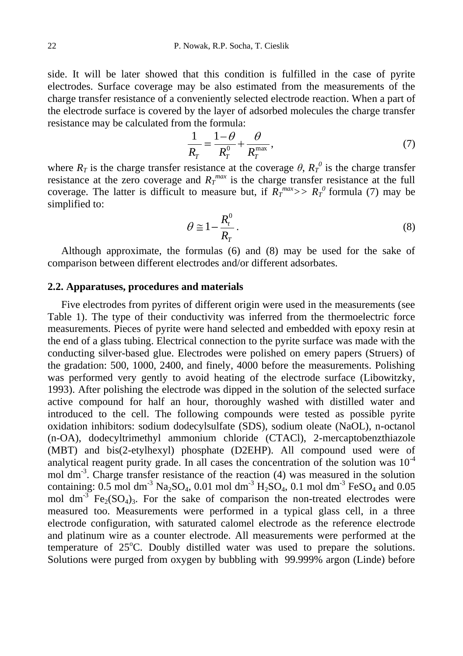side. It will be later showed that this condition is fulfilled in the case of pyrite electrodes. Surface coverage may be also estimated from the measurements of the charge transfer resistance of a conveniently selected electrode reaction. When a part of the electrode surface is covered by the layer of adsorbed molecules the charge transfer resistance may be calculated from the formula:

$$
\frac{1}{R_T} = \frac{1-\theta}{R_T^0} + \frac{\theta}{R_T^{\max}},\tag{7}
$$

where  $R_T$  is the charge transfer resistance at the coverage  $\theta$ ,  $R_T^0$  is the charge transfer resistance at the zero coverage and  $R_T^{max}$  is the charge transfer resistance at the full coverage. The latter is difficult to measure but, if  $R_T^{max}>> R_T^{0}$  formula (7) may be simplified to:

$$
\theta \cong 1 - \frac{R_t^0}{R_T} \,. \tag{8}
$$

Although approximate, the formulas (6) and (8) may be used for the sake of comparison between different electrodes and/or different adsorbates.

## **2.2. Apparatuses, procedures and materials**

Five electrodes from pyrites of different origin were used in the measurements (see Table 1). The type of their conductivity was inferred from the thermoelectric force measurements. Pieces of pyrite were hand selected and embedded with epoxy resin at the end of a glass tubing. Electrical connection to the pyrite surface was made with the conducting silver-based glue. Electrodes were polished on emery papers (Struers) of the gradation: 500, 1000, 2400, and finely, 4000 before the measurements. Polishing was performed very gently to avoid heating of the electrode surface (Libowitzky, 1993). After polishing the electrode was dipped in the solution of the selected surface active compound for half an hour, thoroughly washed with distilled water and introduced to the cell. The following compounds were tested as possible pyrite oxidation inhibitors: sodium dodecylsulfate (SDS), sodium oleate (NaOL), n-octanol (n-OA), dodecyltrimethyl ammonium chloride (CTACl), 2-mercaptobenzthiazole (MBT) and bis(2-etylhexyl) phosphate (D2EHP). All compound used were of analytical reagent purity grade. In all cases the concentration of the solution was  $10^{-4}$ mol dm<sup>-3</sup>. Charge transfer resistance of the reaction (4) was measured in the solution containing: 0.5 mol dm<sup>-3</sup> Na<sub>2</sub>SO<sub>4</sub>, 0.01 mol dm<sup>-3</sup> H<sub>2</sub>SO<sub>4</sub>, 0.1 mol dm<sup>-3</sup> FeSO<sub>4</sub> and 0.05 mol dm<sup>-3</sup> Fe<sub>2</sub>(SO<sub>4</sub>)<sub>3</sub>. For the sake of comparison the non-treated electrodes were measured too. Measurements were performed in a typical glass cell, in a three electrode configuration, with saturated calomel electrode as the reference electrode and platinum wire as a counter electrode. All measurements were performed at the temperature of  $25^{\circ}$ C. Doubly distilled water was used to prepare the solutions. Solutions were purged from oxygen by bubbling with 99.999% argon (Linde) before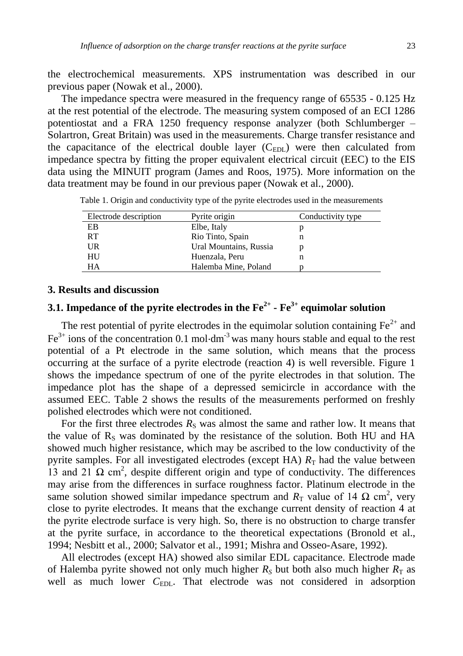the electrochemical measurements. XPS instrumentation was described in our previous paper (Nowak et al., 2000).

The impedance spectra were measured in the frequency range of 65535 - 0.125 Hz at the rest potential of the electrode. The measuring system composed of an ECI 1286 potentiostat and a FRA 1250 frequency response analyzer (both Schlumberger – Solartron, Great Britain) was used in the measurements. Charge transfer resistance and the capacitance of the electrical double layer  $(C_{EDL})$  were then calculated from impedance spectra by fitting the proper equivalent electrical circuit (EEC) to the EIS data using the MINUIT program (James and Roos, 1975). More information on the data treatment may be found in our previous paper (Nowak et al., 2000).

| Electrode description | Pyrite origin          | Conductivity type |
|-----------------------|------------------------|-------------------|
| EB                    | Elbe, Italy            |                   |
| <b>RT</b>             | Rio Tinto, Spain       | n                 |
| UR                    | Ural Mountains, Russia |                   |
| HU                    | Huenzala, Peru         | n                 |
| HA                    | Halemba Mine, Poland   |                   |

Table 1. Origin and conductivity type of the pyrite electrodes used in the measurements

## **3. Results and discussion**

# **3.1. Impedance of the pyrite electrodes in the Fe2+ - Fe3+ equimolar solution**

The rest potential of pyrite electrodes in the equimolar solution containing  $Fe^{2+}$  and  $Fe<sup>3+</sup>$  ions of the concentration 0.1 mol $\cdot$ dm<sup>-3</sup> was many hours stable and equal to the rest potential of a Pt electrode in the same solution, which means that the process occurring at the surface of a pyrite electrode (reaction 4) is well reversible. Figure 1 shows the impedance spectrum of one of the pyrite electrodes in that solution. The impedance plot has the shape of a depressed semicircle in accordance with the assumed EEC. Table 2 shows the results of the measurements performed on freshly polished electrodes which were not conditioned.

For the first three electrodes  $R<sub>S</sub>$  was almost the same and rather low. It means that the value of  $R<sub>S</sub>$  was dominated by the resistance of the solution. Both HU and HA showed much higher resistance, which may be ascribed to the low conductivity of the pyrite samples. For all investigated electrodes (except HA)  $R<sub>T</sub>$  had the value between 13 and 21  $\Omega$  cm<sup>2</sup>, despite different origin and type of conductivity. The differences may arise from the differences in surface roughness factor. Platinum electrode in the same solution showed similar impedance spectrum and  $R_T$  value of 14  $\Omega$  cm<sup>2</sup>, very close to pyrite electrodes. It means that the exchange current density of reaction 4 at the pyrite electrode surface is very high. So, there is no obstruction to charge transfer at the pyrite surface, in accordance to the theoretical expectations (Bronold et al., 1994; Nesbitt et al., 2000; Salvator et al., 1991; Mishra and Osseo-Asare, 1992).

All electrodes (except HA) showed also similar EDL capacitance. Electrode made of Halemba pyrite showed not only much higher  $R<sub>S</sub>$  but both also much higher  $R<sub>T</sub>$  as well as much lower C<sub>EDL</sub>. That electrode was not considered in adsorption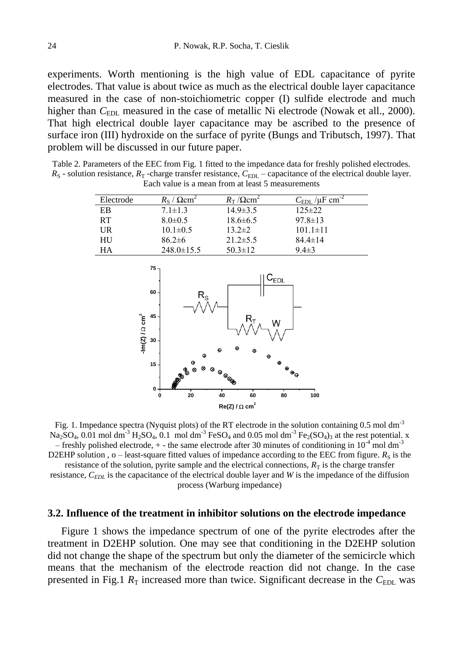experiments. Worth mentioning is the high value of EDL capacitance of pyrite electrodes. That value is about twice as much as the electrical double layer capacitance measured in the case of non-stoichiometric copper (I) sulfide electrode and much higher than *C*<sub>EDL</sub> measured in the case of metallic</sub> Ni electrode (Nowak et all., 2000). That high electrical double layer capacitance may be ascribed to the presence of surface iron (III) hydroxide on the surface of pyrite (Bungs and Tributsch, 1997). That problem will be discussed in our future paper.

Table 2. Parameters of the EEC from Fig. 1 fitted to the impedance data for freshly polished electrodes.  $R_S$  - solution resistance,  $R_T$  -charge transfer resistance,  $C_{EDL}$  – capacitance of the electrical double layer. Each value is a mean from at least 5 measurements

| Electrode | $R_s/\Omega$ cm <sup>2</sup> | $R_{\rm T}$ / $\Omega$ cm <sup>2</sup> | $C_{EDL}/\mu F$ cm <sup>-2</sup> |
|-----------|------------------------------|----------------------------------------|----------------------------------|
| EB        | $7.1 \pm 1.3$                | $14.9 \pm 3.5$                         | $125 \pm 22$                     |
| <b>RT</b> | $8.0 \pm 0.5$                | $18.6 \pm 6.5$                         | $97.8 \pm 13$                    |
| UR        | $10.1 \pm 0.5$               | $13.2 \pm 2$                           | $101.1 \pm 11$                   |
| HU        | $86.2 \pm 6$                 | $21.2 \pm 5.5$                         | $84.4 \pm 14$                    |
| HА        | $248.0 \pm 15.5$             | $50.3 \pm 12$                          | $9.4 \pm 3$                      |



Fig. 1. Impedance spectra (Nyquist plots) of the RT electrode in the solution containing 0.5 mol dm<sup>-3</sup>  $Na_2SO_4$ , 0.01 mol dm<sup>-3</sup> H<sub>2</sub>SO<sub>4</sub>, 0.1 mol dm<sup>-3</sup> FeSO<sub>4</sub> and 0.05 mol dm<sup>-3</sup> Fe<sub>2</sub>(SO<sub>4</sub>)<sub>3</sub> at the rest potential. x – freshly polished electrode,  $+$  - the same electrode after 30 minutes of conditioning in  $10^{-4}$  mol dm<sup>-3</sup> D2EHP solution ,  $o$  – least-square fitted values of impedance according to the EEC from figure.  $R_S$  is the resistance of the solution, pyrite sample and the electrical connections,  $R<sub>T</sub>$  is the charge transfer resistance, *C<sub>EDL</sub>* is the capacitance of the electrical double layer and *W* is the impedance of the diffusion

process (Warburg impedance)

#### **3.2. Influence of the treatment in inhibitor solutions on the electrode impedance**

Figure 1 shows the impedance spectrum of one of the pyrite electrodes after the treatment in D2EHP solution. One may see that conditioning in the D2EHP solution did not change the shape of the spectrum but only the diameter of the semicircle which means that the mechanism of the electrode reaction did not change. In the case presented in Fig.1  $R_T$  increased more than twice. Significant decrease in the  $C_{EDL}$  was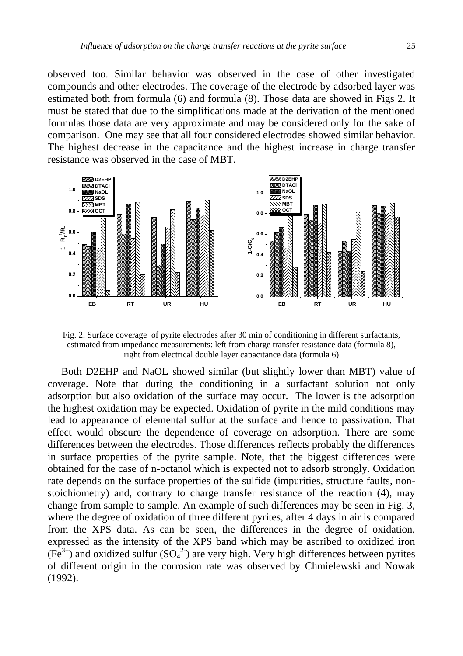observed too. Similar behavior was observed in the case of other investigated compounds and other electrodes. The coverage of the electrode by adsorbed layer was estimated both from formula (6) and formula (8). Those data are showed in Figs 2. It must be stated that due to the simplifications made at the derivation of the mentioned formulas those data are very approximate and may be considered only for the sake of comparison. One may see that all four considered electrodes showed similar behavior. The highest decrease in the capacitance and the highest increase in charge transfer resistance was observed in the case of MBT.



Fig. 2. Surface coverage of pyrite electrodes after 30 min of conditioning in different surfactants, estimated from impedance measurements: left from charge transfer resistance data (formula 8), right from electrical double layer capacitance data (formula 6)

Both D2EHP and NaOL showed similar (but slightly lower than MBT) value of coverage. Note that during the conditioning in a surfactant solution not only adsorption but also oxidation of the surface may occur. The lower is the adsorption the highest oxidation may be expected. Oxidation of pyrite in the mild conditions may lead to appearance of elemental sulfur at the surface and hence to passivation. That effect would obscure the dependence of coverage on adsorption. There are some differences between the electrodes. Those differences reflects probably the differences in surface properties of the pyrite sample. Note, that the biggest differences were obtained for the case of n-octanol which is expected not to adsorb strongly. Oxidation rate depends on the surface properties of the sulfide (impurities, structure faults, nonstoichiometry) and, contrary to charge transfer resistance of the reaction (4), may change from sample to sample. An example of such differences may be seen in Fig. 3, where the degree of oxidation of three different pyrites, after 4 days in air is compared from the XPS data. As can be seen, the differences in the degree of oxidation, expressed as the intensity of the XPS band which may be ascribed to oxidized iron  $(F \hat{e}^{3+})$  and oxidized sulfur  $(SO_4^2)$  are very high. Very high differences between pyrites of different origin in the corrosion rate was observed by Chmielewski and Nowak (1992).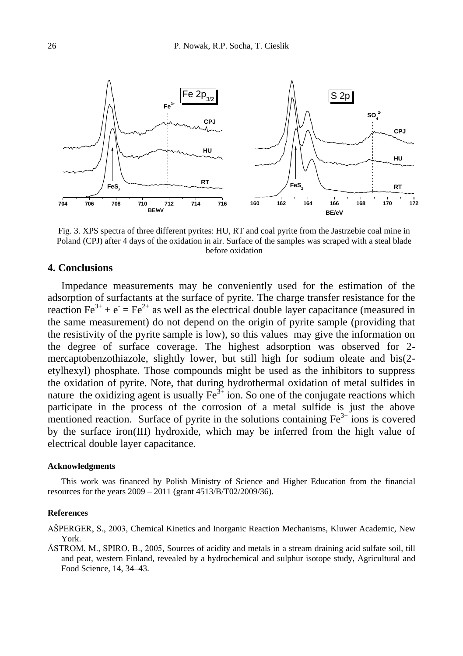

Fig. 3. XPS spectra of three different pyrites: HU, RT and coal pyrite from the Jastrzebie coal mine in Poland (CPJ) after 4 days of the oxidation in air. Surface of the samples was scraped with a steal blade before oxidation

## **4. Conclusions**

Impedance measurements may be conveniently used for the estimation of the adsorption of surfactants at the surface of pyrite. The charge transfer resistance for the reaction  $\text{Fe}^{3+} + \text{e}^- = \text{Fe}^{2+}$  as well as the electrical double layer capacitance (measured in the same measurement) do not depend on the origin of pyrite sample (providing that the resistivity of the pyrite sample is low), so this values may give the information on the degree of surface coverage. The highest adsorption was observed for 2 mercaptobenzothiazole, slightly lower, but still high for sodium oleate and bis(2 etylhexyl) phosphate. Those compounds might be used as the inhibitors to suppress the oxidation of pyrite. Note, that during hydrothermal oxidation of metal sulfides in nature the oxidizing agent is usually  $\text{Fe}^{3+}$  ion. So one of the conjugate reactions which participate in the process of the corrosion of a metal sulfide is just the above mentioned reaction. Surface of pyrite in the solutions containing  $Fe<sup>3+</sup>$  ions is covered by the surface iron(III) hydroxide, which may be inferred from the high value of electrical double layer capacitance.

### **Acknowledgments**

This work was financed by Polish Ministry of Science and Higher Education from the financial resources for the years 2009 – 2011 (grant 4513/B/T02/2009/36).

#### **References**

AŃPERGER, S., 2003, Chemical Kinetics and Inorganic Reaction Mechanisms, Kluwer Academic, New York.

ÅSTROM, M., SPIRO, B., 2005, Sources of acidity and metals in a stream draining acid sulfate soil, till and peat, western Finland, revealed by a hydrochemical and sulphur isotope study, Agricultural and Food Science, 14, 34–43.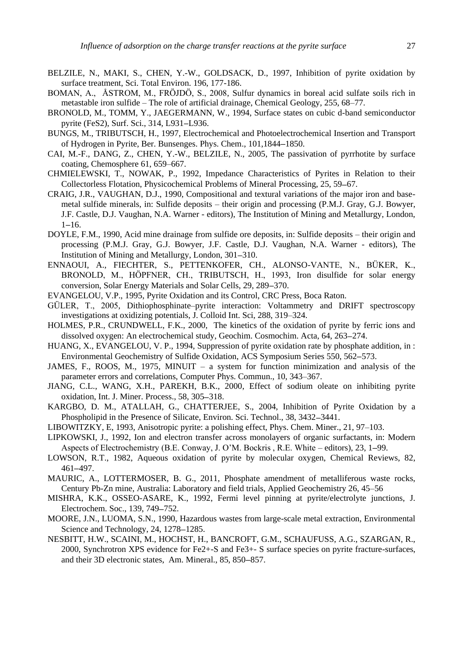- BELZILE, N., MAKI, S., CHEN, Y.-W., GOLDSACK, D., 1997, Inhibition of pyrite oxidation by surface treatment, Sci. Total Environ. 196, 177-186.
- BOMAN, A., ÅSTROM, M., FRÖJDÖ, S., 2008, Sulfur dynamics in boreal acid sulfate soils rich in metastable iron sulfide – The role of artificial drainage, Chemical Geology, 255, 68–77.
- BRONOLD, M., TOMM, Y., JAEGERMANN, W., 1994, Surface states on cubic d-band semiconductor pyrite (FeS2), Surf. Sci., 314, L931-L936.
- BUNGS, M., TRIBUTSCH, H., 1997, Electrochemical and Photoelectrochemical Insertion and Transport of Hydrogen in Pyrite, Ber. Bunsenges. Phys. Chem., 101,1844 1850.
- CAI, M.-F., DANG, Z., CHEN, Y.-W., BELZILE, N., 2005, The passivation of pyrrhotite by surface coating, Chemosphere 61, 659–667.
- CHMIELEWSKI, T., NOWAK, P., 1992, Impedance Characteristics of Pyrites in Relation to their Collectorless Flotation, Physicochemical Problems of Mineral Processing, 25, 59-67.
- CRAIG, J.R., VAUGHAN, D.J., 1990, Compositional and textural variations of the major iron and basemetal sulfide minerals, in: Sulfide deposits – their origin and processing (P.M.J. Gray, G.J. Bowyer, J.F. Castle, D.J. Vaughan, N.A. Warner - editors), The Institution of Mining and Metallurgy, London,  $1 - 16.$
- DOYLE, F.M., 1990, Acid mine drainage from sulfide ore deposits, in: Sulfide deposits their origin and processing (P.M.J. Gray, G.J. Bowyer, J.F. Castle, D.J. Vaughan, N.A. Warner - editors), The Institution of Mining and Metallurgy, London, 301-310.
- ENNAOUI, A., FIECHTER, S., PETTENKOFER, CH., ALONSO-VANTE, N., BÜKER, K., BRONOLD, M., HÖPFNER, CH., TRIBUTSCH, H., 1993, Iron disulfide for solar energy conversion, Solar Energy Materials and Solar Cells, 29, 289–370.
- EVANGELOU, V.P., 1995, Pyrite Oxidation and its Control, CRC Press, Boca Raton.
- GÜLER, T., 2005, Dithiophosphinate–pyrite interaction: Voltammetry and DRIFT spectroscopy investigations at oxidizing potentials, J. Colloid Int. Sci, 288, 319–324.
- HOLMES, P.R., CRUNDWELL, F.K., 2000, The kinetics of the oxidation of pyrite by ferric ions and dissolved oxygen: An electrochemical study, Geochim. Cosmochim. Acta, 64, 263–274.
- HUANG, X., EVANGELOU, V. P., 1994, Suppression of pyrite oxidation rate by phosphate addition, in : Environmental Geochemistry of Sulfide Oxidation, ACS Symposium Series 550, 562-573.
- JAMES, F., ROOS, M., 1975, MINUIT a system for function minimization and analysis of the parameter errors and correlations, Computer Phys. Commun., 10, 343–367.
- JIANG, C.L., WANG, X.H., PAREKH, B.K., 2000, Effect of sodium oleate on inhibiting pyrite oxidation, Int. J. Miner. Process., 58, 305-318.
- KARGBO, D. M., ATALLAH, G., CHATTERJEE, S., 2004, Inhibition of Pyrite Oxidation by a Phospholipid in the Presence of Silicate, Environ. Sci. Technol., 38, 3432–3441.
- LIBOWITZKY, E, 1993, Anisotropic pyrite: a polishing effect, Phys. Chem. Miner., 21, 97–103.
- LIPKOWSKI, J., 1992, Ion and electron transfer across monolayers of organic surfactants, in: Modern Aspects of Electrochemistry (B.E. Conway, J. O'M. Bockris, R.E. White – editors), 23, 1–99.
- LOWSON, R.T., 1982, Aqueous oxidation of pyrite by molecular oxygen, Chemical Reviews, 82, 461-497.
- MAURIC, A., LOTTERMOSER, B. G., 2011, Phosphate amendment of metalliferous waste rocks, Century Pb-Zn mine, Australia: Laboratory and field trials, Applied Geochemistry 26, 45–56
- MISHRA, K.K., OSSEO-ASARE, K., 1992, Fermi level pinning at pyrite/electrolyte junctions, J. Electrochem. Soc., 139, 749-752.
- MOORE, J.N., LUOMA, S.N., 1990, Hazardous wastes from large-scale metal extraction, Environmental Science and Technology, 24, 1278–1285.
- NESBITT, H.W., SCAINI, M., HOCHST, H., BANCROFT, G.M., SCHAUFUSS, A.G., SZARGAN, R., 2000, Synchrotron XPS evidence for Fe2+-S and Fe3+- S surface species on pyrite fracture-surfaces, and their 3D electronic states, Am. Mineral., 85, 850-857.